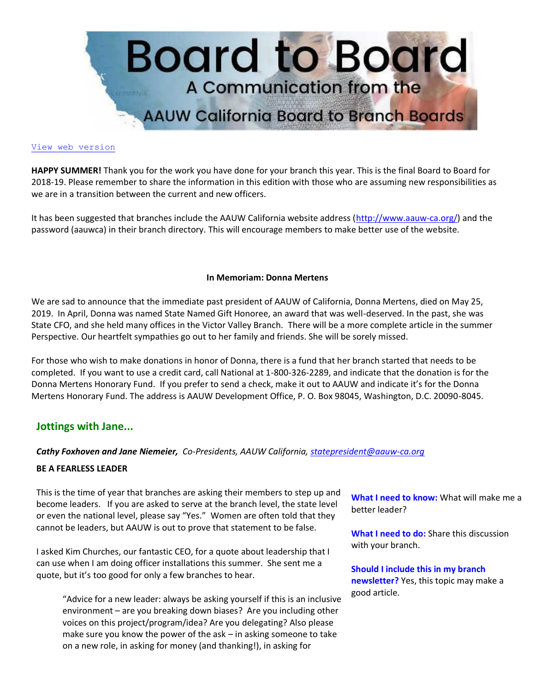

#### [View web version](https://bor.aauw-ca.org/sendy/w/892WZcugyyn7Dp4I7u2fztNQ/X4kB0ERVfDDPr7iAvcwqJA/jPZOB892TFJkgsLT892x0NK5kg)

**HAPPY SUMMER!** Thank you for the work you have done for your branch this year. This is the final Board to Board for 2018-19. Please remember to share the information in this edition with those who are assuming new responsibilities as we are in a transition between the current and new officers.

It has been suggested that branches include the AAUW California website address [\(http://www.aauw-ca.org/\)](https://bor.aauw-ca.org/sendy/l/892WZcugyyn7Dp4I7u2fztNQ/V11dwEfdGcW7a1FPfLL2eA/jPZOB892TFJkgsLT892x0NK5kg) and the password (aauwca) in their branch directory. This will encourage members to make better use of the website.

#### **In Memoriam: Donna Mertens**

We are sad to announce that the immediate past president of AAUW of California, Donna Mertens, died on May 25, 2019. In April, Donna was named State Named Gift Honoree, an award that was well-deserved. In the past, she was State CFO, and she held many offices in the Victor Valley Branch. There will be a more complete article in the summer Perspective. Our heartfelt sympathies go out to her family and friends. She will be sorely missed.

For those who wish to make donations in honor of Donna, there is a fund that her branch started that needs to be completed. If you want to use a credit card, call National at 1-800-326-2289, and indicate that the donation is for the Donna Mertens Honorary Fund. If you prefer to send a check, make it out to AAUW and indicate it's for the Donna Mertens Honorary Fund. The address is AAUW Development Office, P. O. Box 98045, Washington, D.C. 20090-8045.

## **Jottings with Jane...**

#### *Cathy Foxhoven and Jane Niemeier, Co-Presidents, AAUW California, [statepresident@aauw-ca.org](mailto:statepresident@aauw-ca.org)*

#### **BE A FEARLESS LEADER**

This is the time of year that branches are asking their members to step up and become leaders. If you are asked to serve at the branch level, the state level or even the national level, please say "Yes." Women are often told that they cannot be leaders, but AAUW is out to prove that statement to be false.

I asked Kim Churches, our fantastic CEO, for a quote about leadership that I can use when I am doing officer installations this summer. She sent me a quote, but it's too good for only a few branches to hear.

"Advice for a new leader: always be asking yourself if this is an inclusive environment – are you breaking down biases? Are you including other voices on this project/program/idea? Are you delegating? Also please make sure you know the power of the ask – in asking someone to take on a new role, in asking for money (and thanking!), in asking for

**What I need to know:** What will make me a better leader?

**What I need to do:** Share this discussion with your branch.

**Should I include this in my branch newsletter?** Yes, this topic may make a good article.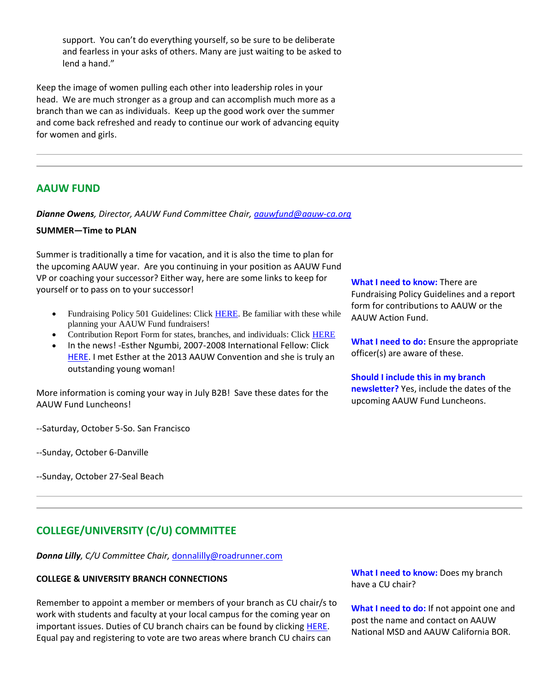support. You can't do everything yourself, so be sure to be deliberate and fearless in your asks of others. Many are just waiting to be asked to lend a hand."

Keep the image of women pulling each other into leadership roles in your head. We are much stronger as a group and can accomplish much more as a branch than we can as individuals. Keep up the good work over the summer and come back refreshed and ready to continue our work of advancing equity for women and girls.

# **AAUW FUND**

*Dianne Owens, Director, AAUW Fund Committee Chair, [aauwfund@aauw-ca.org](mailto:aauwfund@aauw-ca.org)*

## **SUMMER—Time to PLAN**

Summer is traditionally a time for vacation, and it is also the time to plan for the upcoming AAUW year. Are you continuing in your position as AAUW Fund VP or coaching your successor? Either way, here are some links to keep for yourself or to pass on to your successor!

- Fundraising Policy 501 Guidelines: Click [HERE.](https://bor.aauw-ca.org/sendy/l/892WZcugyyn7Dp4I7u2fztNQ/heVmV8Vl763u3hOQSDmvUMhQ/jPZOB892TFJkgsLT892x0NK5kg) Be familiar with these while planning your AAUW Fund fundraisers!
- Contribution Report Form for states, branches, and individuals: Click [HERE](https://bor.aauw-ca.org/sendy/l/892WZcugyyn7Dp4I7u2fztNQ/763HjHvvQ94baXwi1QXHYRUg/jPZOB892TFJkgsLT892x0NK5kg)
- In the news! -Esther Ngumbi, 2007-2008 International Fellow: Click [HERE.](https://bor.aauw-ca.org/sendy/l/892WZcugyyn7Dp4I7u2fztNQ/uAvmE4gsYDXlsM056XAnQw/jPZOB892TFJkgsLT892x0NK5kg) I met Esther at the 2013 AAUW Convention and she is truly an outstanding young woman!

More information is coming your way in July B2B! Save these dates for the AAUW Fund Luncheons!

--Saturday, October 5-So. San Francisco

--Sunday, October 6-Danville

--Sunday, October 27-Seal Beach

**What I need to know:** There are Fundraising Policy Guidelines and a report form for contributions to AAUW or the AAUW Action Fund.

**What I need to do:** Ensure the appropriate officer(s) are aware of these.

#### **Should I include this in my branch**

**newsletter?** Yes, include the dates of the upcoming AAUW Fund Luncheons.

# **COLLEGE/UNIVERSITY (C/U) COMMITTEE**

*Donna Lilly, C/U Committee Chair,* [donnalilly@roadrunner.com](mailto:donnalilly@roadrunner.com)

#### **COLLEGE & UNIVERSITY BRANCH CONNECTIONS**

Remember to appoint a member or members of your branch as CU chair/s to work with students and faculty at your local campus for the coming year on important issues. Duties of CU branch chairs can be found by clicking [HERE.](https://bor.aauw-ca.org/sendy/l/892WZcugyyn7Dp4I7u2fztNQ/C7kLcrT2GuIytW0gu9r8GQ/jPZOB892TFJkgsLT892x0NK5kg) Equal pay and registering to vote are two areas where branch CU chairs can

**What I need to know:** Does my branch have a CU chair?

**What I need to do:** If not appoint one and post the name and contact on AAUW National MSD and AAUW California BOR.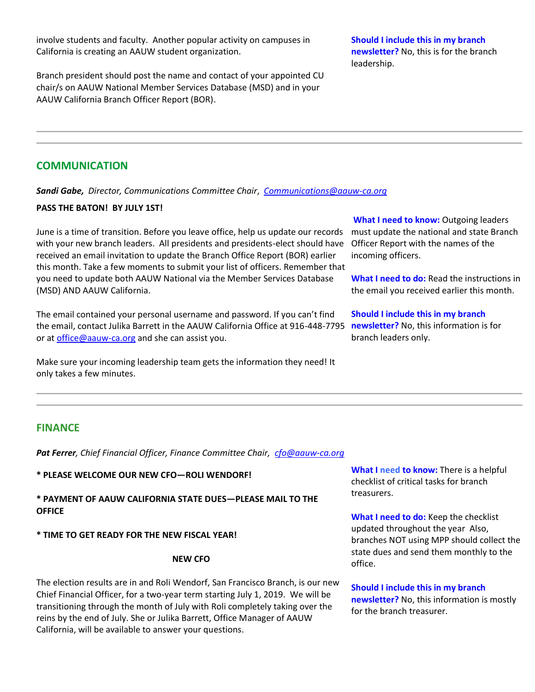involve students and faculty. Another popular activity on campuses in California is creating an AAUW student organization.

Branch president should post the name and contact of your appointed CU chair/s on AAUW National Member Services Database (MSD) and in your AAUW California Branch Officer Report (BOR).

**Should I include this in my branch newsletter?** No, this is for the branch leadership.

# **COMMUNICATION**

*Sandi Gabe, Director, Communications Committee Chair*, *[Communications@aauw-ca.org](mailto:Communications@aauw-ca.org)*

## **PASS THE BATON! BY JULY 1ST!**

June is a time of transition. Before you leave office, help us update our records with your new branch leaders. All presidents and presidents-elect should have received an email invitation to update the Branch Office Report (BOR) earlier this month. Take a few moments to submit your list of officers. Remember that you need to update both AAUW National via the Member Services Database (MSD) AND AAUW California.

The email contained your personal username and password. If you can't find the email, contact Julika Barrett in the AAUW California Office at 916-448-7795 **newsletter?** No, this information is for or at [office@aauw-ca.org](mailto:office@aauw-ca.org) and she can assist you.

Make sure your incoming leadership team gets the information they need! It only takes a few minutes.

**What I need to know:** Outgoing leaders must update the national and state Branch Officer Report with the names of the incoming officers.

**What I need to do:** Read the instructions in the email you received earlier this month.

**Should I include this in my branch**  branch leaders only.

# **FINANCE**

*Pat Ferrer, Chief Financial Officer, Finance Committee Chair, [cfo@aauw-ca.org](mailto:cfo@aauw-ca.org)*

**\* PLEASE WELCOME OUR NEW CFO—ROLI WENDORF!**

**\* PAYMENT OF AAUW CALIFORNIA STATE DUES—PLEASE MAIL TO THE OFFICE**

**\* TIME TO GET READY FOR THE NEW FISCAL YEAR!**

#### **NEW CFO**

The election results are in and Roli Wendorf, San Francisco Branch, is our new Chief Financial Officer, for a two-year term starting July 1, 2019. We will be transitioning through the month of July with Roli completely taking over the reins by the end of July. She or Julika Barrett, Office Manager of AAUW California, will be available to answer your questions.

**What I need to know:** There is a helpful checklist of critical tasks for branch treasurers.

**What I need to do:** Keep the checklist updated throughout the year Also, branches NOT using MPP should collect the state dues and send them monthly to the office.

**Should I include this in my branch newsletter?** No, this information is mostly for the branch treasurer.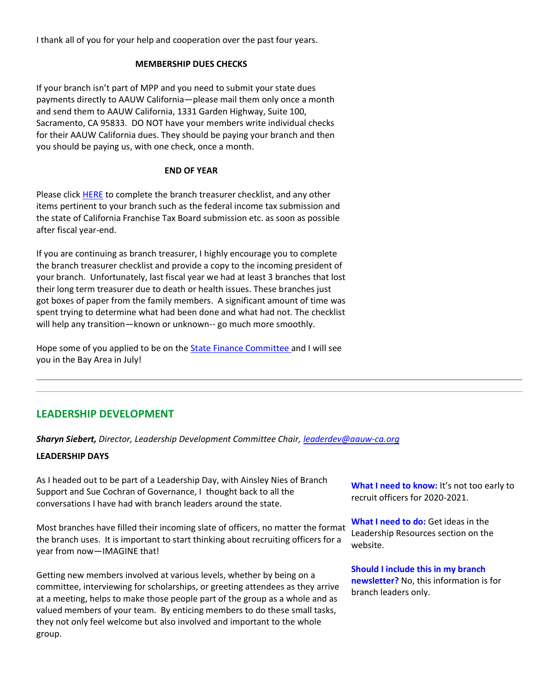I thank all of you for your help and cooperation over the past four years.

## **MEMBERSHIP DUES CHECKS**

If your branch isn't part of MPP and you need to submit your state dues payments directly to AAUW California—please mail them only once a month and send them to AAUW California, 1331 Garden Highway, Suite 100, Sacramento, CA 95833. DO NOT have your members write individual checks for their AAUW California dues. They should be paying your branch and then you should be paying us, with one check, once a month.

## **END OF YEAR**

Please click **HERE** to complete the branch treasurer checklist, and any other items pertinent to your branch such as the federal income tax submission and the state of California Franchise Tax Board submission etc. as soon as possible after fiscal year-end.

If you are continuing as branch treasurer, I highly encourage you to complete the branch treasurer checklist and provide a copy to the incoming president of your branch. Unfortunately, last fiscal year we had at least 3 branches that lost their long term treasurer due to death or health issues. These branches just got boxes of paper from the family members. A significant amount of time was spent trying to determine what had been done and what had not. The checklist will help any transition—known or unknown-- go much more smoothly.

Hope some of you applied to be on the [State Finance Committee a](https://bor.aauw-ca.org/sendy/l/892WZcugyyn7Dp4I7u2fztNQ/A9pxEm7636mBxNh4FSbTmIUg/jPZOB892TFJkgsLT892x0NK5kg)nd I will see you in the Bay Area in July!

# **LEADERSHIP DEVELOPMENT**

*Sharyn Siebert, Director, Leadership Development Committee Chair, [leaderdev@aauw-ca.org](mailto:leaderdev@aauw-ca.org)*

#### **LEADERSHIP DAYS**

As I headed out to be part of a Leadership Day, with Ainsley Nies of Branch Support and Sue Cochran of Governance, I thought back to all the conversations I have had with branch leaders around the state.

Most branches have filled their incoming slate of officers, no matter the format the branch uses. It is important to start thinking about recruiting officers for a year from now—IMAGINE that!

Getting new members involved at various levels, whether by being on a committee, interviewing for scholarships, or greeting attendees as they arrive at a meeting, helps to make those people part of the group as a whole and as valued members of your team. By enticing members to do these small tasks, they not only feel welcome but also involved and important to the whole group.

**What I need to know:** It's not too early to recruit officers for 2020-2021.

**What I need to do:** Get ideas in the Leadership Resources section on the website.

**Should I include this in my branch newsletter?** No, this information is for branch leaders only.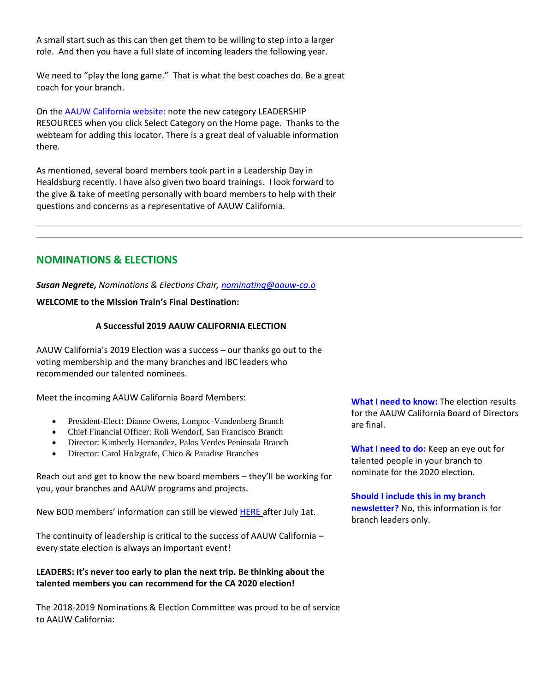A small start such as this can then get them to be willing to step into a larger role. And then you have a full slate of incoming leaders the following year.

We need to "play the long game." That is what the best coaches do. Be a great coach for your branch.

On the [AAUW California website:](https://bor.aauw-ca.org/sendy/l/892WZcugyyn7Dp4I7u2fztNQ/V11dwEfdGcW7a1FPfLL2eA/jPZOB892TFJkgsLT892x0NK5kg) note the new category LEADERSHIP RESOURCES when you click Select Category on the Home page. Thanks to the webteam for adding this locator. There is a great deal of valuable information there.

As mentioned, several board members took part in a Leadership Day in Healdsburg recently. I have also given two board trainings. I look forward to the give & take of meeting personally with board members to help with their questions and concerns as a representative of AAUW California.

# **NOMINATIONS & ELECTIONS**

*Susan Negrete, Nominations & Elections Chair, [nominating@aauw-ca.o](mailto:nominating@aauw-ca.org)*

## **WELCOME to the Mission Train's Final Destination:**

## **A Successful 2019 AAUW CALIFORNIA ELECTION**

AAUW California's 2019 Election was a success – our thanks go out to the voting membership and the many branches and IBC leaders who recommended our talented nominees.

Meet the incoming AAUW California Board Members:

- President-Elect: Dianne Owens, Lompoc-Vandenberg Branch
- Chief Financial Officer: Roli Wendorf, San Francisco Branch
- Director: Kimberly Hernandez, Palos Verdes Peninsula Branch
- Director: Carol Holzgrafe, Chico & Paradise Branches

Reach out and get to know the new board members – they'll be working for you, your branches and AAUW programs and projects.

New BOD members' information can still be viewed **HERE** after July 1at.

The continuity of leadership is critical to the success of AAUW California – every state election is always an important event!

## **LEADERS: It's never too early to plan the next trip. Be thinking about the talented members you can recommend for the CA 2020 election!**

The 2018-2019 Nominations & Election Committee was proud to be of service to AAUW California:

**What I need to know:** The election results for the AAUW California Board of Directors are final.

**What I need to do:** Keep an eye out for talented people in your branch to nominate for the 2020 election.

**Should I include this in my branch newsletter?** No, this information is for branch leaders only.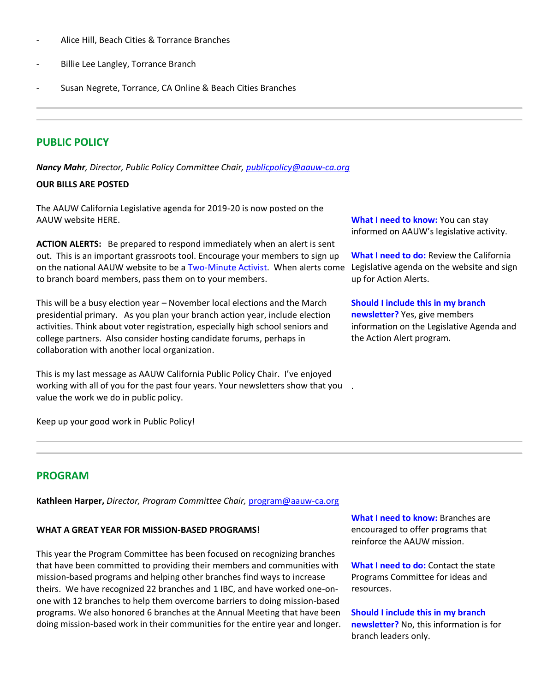- Alice Hill, Beach Cities & Torrance Branches
- Billie Lee Langley, Torrance Branch
- Susan Negrete, Torrance, CA Online & Beach Cities Branches

# **PUBLIC POLICY**

*Nancy Mahr, Director, Public Policy Committee Chair, [publicpolicy@aauw-ca.org](mailto:PublicPolicy@aauw-ca.org)*

## **OUR BILLS ARE POSTED**

The AAUW California Legislative agenda for 2019-20 is now posted on the AAUW website HERE.

**ACTION ALERTS:** Be prepared to respond immediately when an alert is sent out. This is an important grassroots tool. Encourage your members to sign up on the national AAUW website to be a **Two-Minute Activist**. When alerts come to branch board members, pass them on to your members.

This will be a busy election year – November local elections and the March presidential primary. As you plan your branch action year, include election activities. Think about voter registration, especially high school seniors and college partners. Also consider hosting candidate forums, perhaps in collaboration with another local organization.

This is my last message as AAUW California Public Policy Chair. I've enjoyed working with all of you for the past four years. Your newsletters show that you . value the work we do in public policy.

Keep up your good work in Public Policy!

**What I need to know:** You can stay informed on AAUW's legislative activity.

**What I need to do:** Review the California Legislative agenda on the website and sign up for Action Alerts.

**Should I include this in my branch newsletter?** Yes, give members information on the Legislative Agenda and the Action Alert program.

## **PROGRAM**

**Kathleen Harper,** *Director, Program Committee Chair,* [program@aauw-ca.org](mailto:program@aauw-ca.org)

## **WHAT A GREAT YEAR FOR MISSION-BASED PROGRAMS!**

This year the Program Committee has been focused on recognizing branches that have been committed to providing their members and communities with mission-based programs and helping other branches find ways to increase theirs. We have recognized 22 branches and 1 IBC, and have worked one-onone with 12 branches to help them overcome barriers to doing mission-based programs. We also honored 6 branches at the Annual Meeting that have been doing mission-based work in their communities for the entire year and longer. **What I need to know:** Branches are encouraged to offer programs that reinforce the AAUW mission.

**What I need to do:** Contact the state Programs Committee for ideas and resources.

**Should I include this in my branch newsletter?** No, this information is for branch leaders only.